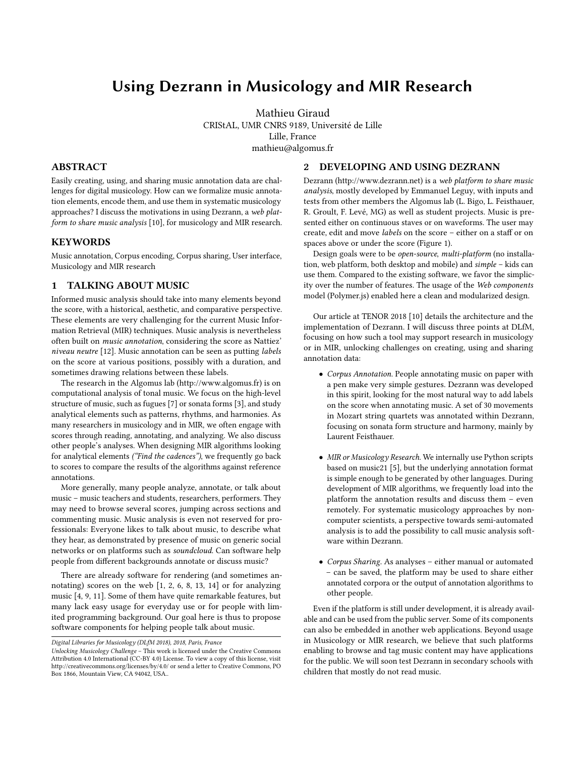## Using Dezrann in Musicology and MIR Research

Mathieu Giraud CRIStAL, UMR CNRS 9189, Université de Lille Lille, France mathieu@algomus.fr

#### ABSTRACT

Easily creating, using, and sharing music annotation data are challenges for digital musicology. How can we formalize music annotation elements, encode them, and use them in systematic musicology approaches? I discuss the motivations in using Dezrann, a web platform to share music analysis [\[10\]](#page-1-0), for musicology and MIR research.

#### **KEYWORDS**

Music annotation, Corpus encoding, Corpus sharing, User interface, Musicology and MIR research

#### 1 TALKING ABOUT MUSIC

Informed music analysis should take into many elements beyond the score, with a historical, aesthetic, and comparative perspective. These elements are very challenging for the current Music Information Retrieval (MIR) techniques. Music analysis is nevertheless often built on music annotation, considering the score as Nattiez' niveau neutre [\[12\]](#page-1-1). Music annotation can be seen as putting labels on the score at various positions, possibly with a duration, and sometimes drawing relations between these labels.

The research in the Algomus lab [\(http://www.algomus.fr\)](http://www.algomus.fr) is on computational analysis of tonal music. We focus on the high-level structure of music, such as fugues [\[7\]](#page-1-2) or sonata forms [\[3\]](#page-1-3), and study analytical elements such as patterns, rhythms, and harmonies. As many researchers in musicology and in MIR, we often engage with scores through reading, annotating, and analyzing. We also discuss other people's analyses. When designing MIR algorithms looking for analytical elements ("Find the cadences"), we frequently go back to scores to compare the results of the algorithms against reference annotations.

More generally, many people analyze, annotate, or talk about music – music teachers and students, researchers, performers. They may need to browse several scores, jumping across sections and commenting music. Music analysis is even not reserved for professionals: Everyone likes to talk about music, to describe what they hear, as demonstrated by presence of music on generic social networks or on platforms such as soundcloud. Can software help people from different backgrounds annotate or discuss music?

There are already software for rendering (and sometimes annotating) scores on the web [\[1,](#page-1-4) [2,](#page-1-5) [6,](#page-1-6) [8,](#page-1-7) [13,](#page-1-8) [14\]](#page-1-9) or for analyzing music [\[4,](#page-1-10) [9,](#page-1-11) [11\]](#page-1-12). Some of them have quite remarkable features, but many lack easy usage for everyday use or for people with limited programming background. Our goal here is thus to propose software components for helping people talk about music.

# Dezrann [\(http://www.dezrann.net\)](http://www.dezrann.net) is a web platform to share music

2 DEVELOPING AND USING DEZRANN

analysis, mostly developed by Emmanuel Leguy, with inputs and tests from other members the Algomus lab (L. Bigo, L. Feisthauer, R. Groult, F. Levé, MG) as well as student projects. Music is presented either on continuous staves or on waveforms. The user may create, edit and move labels on the score – either on a staff or on spaces above or under the score (Figure [1\)](#page-1-13).

Design goals were to be open-source, multi-platform (no installation, web platform, both desktop and mobile) and simple – kids can use them. Compared to the existing software, we favor the simplicity over the number of features. The usage of the Web components model (Polymer.js) enabled here a clean and modularized design.

Our article at TENOR 2018 [\[10\]](#page-1-0) details the architecture and the implementation of Dezrann. I will discuss three points at DLfM, focusing on how such a tool may support research in musicology or in MIR, unlocking challenges on creating, using and sharing annotation data:

- Corpus Annotation. People annotating music on paper with a pen make very simple gestures. Dezrann was developed in this spirit, looking for the most natural way to add labels on the score when annotating music. A set of 30 movements in Mozart string quartets was annotated within Dezrann, focusing on sonata form structure and harmony, mainly by Laurent Feisthauer.
- MIR or Musicology Research. We internally use Python scripts based on music21 [\[5\]](#page-1-14), but the underlying annotation format is simple enough to be generated by other languages. During development of MIR algorithms, we frequently load into the platform the annotation results and discuss them – even remotely. For systematic musicology approaches by noncomputer scientists, a perspective towards semi-automated analysis is to add the possibility to call music analysis software within Dezrann.
- Corpus Sharing. As analyses either manual or automated – can be saved, the platform may be used to share either annotated corpora or the output of annotation algorithms to other people.

Even if the platform is still under development, it is already available and can be used from the public server. Some of its components can also be embedded in another web applications. Beyond usage in Musicology or MIR research, we believe that such platforms enabling to browse and tag music content may have applications for the public. We will soon test Dezrann in secondary schools with children that mostly do not read music.

Digital Libraries for Musicology (DLfM 2018), 2018, Paris, France

Unlocking Musicology Challenge – This work is licensed under the Creative Commons Attribution 4.0 International (CC-BY 4.0) License. To view a copy of this license, visit <http://creativecommons.org/licenses/by/4.0/> or send a letter to Creative Commons, PO Box 1866, Mountain View, CA 94042, USA..